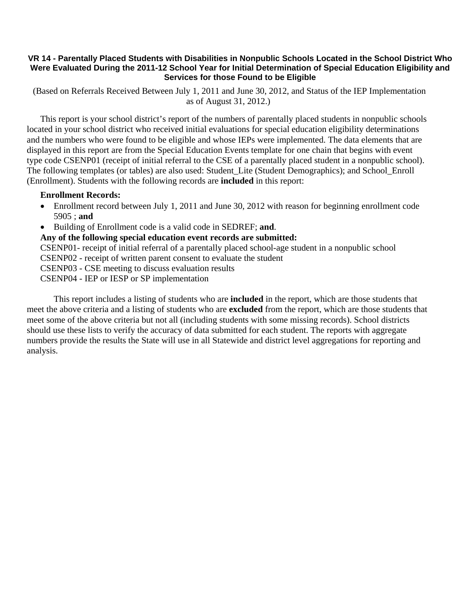## **VR 14 - Parentally Placed Students with Disabilities in Nonpublic Schools Located in the School District Who Were Evaluated During the 2011-12 School Year for Initial Determination of Special Education Eligibility and Services for those Found to be Eligible**

 (Based on Referrals Received Between July 1, 2011 and June 30, 2012, and Status of the IEP Implementation as of August 31, 2012.)

This report is your school district's report of the numbers of parentally placed students in nonpublic schools located in your school district who received initial evaluations for special education eligibility determinations and the numbers who were found to be eligible and whose IEPs were implemented. The data elements that are displayed in this report are from the Special Education Events template for one chain that begins with event type code CSENP01 (receipt of initial referral to the CSE of a parentally placed student in a nonpublic school). The following templates (or tables) are also used: Student\_Lite (Student Demographics); and School\_Enroll (Enrollment). Students with the following records are **included** in this report:

## **Enrollment Records:**

- Enrollment record between July 1, 2011 and June 30, 2012 with reason for beginning enrollment code 5905 ; **and**
- Building of Enrollment code is a valid code in SEDREF; **and**.

**Any of the following special education event records are submitted:** 

CSENP01- receipt of initial referral of a parentally placed school-age student in a nonpublic school

CSENP02 - receipt of written parent consent to evaluate the student

CSENP03 - CSE meeting to discuss evaluation results

CSENP04 - IEP or IESP or SP implementation

 This report includes a listing of students who are **included** in the report, which are those students that meet the above criteria and a listing of students who are **excluded** from the report, which are those students that meet some of the above criteria but not all (including students with some missing records). School districts should use these lists to verify the accuracy of data submitted for each student. The reports with aggregate numbers provide the results the State will use in all Statewide and district level aggregations for reporting and analysis.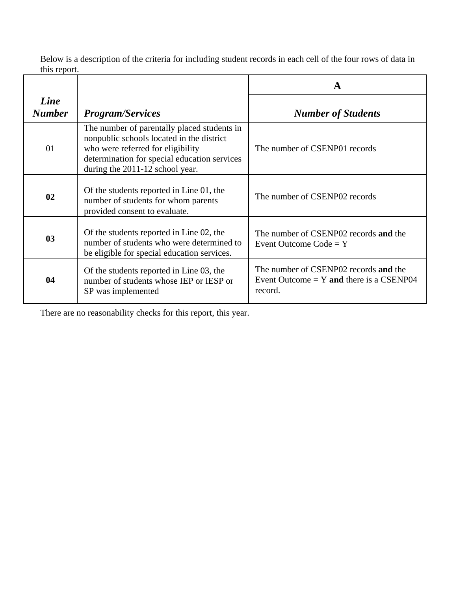Below is a description of the criteria for including student records in each cell of the four rows of data in this report.

|                       |                                                                                                                                                                                                                  | $\mathbf A$                                                                                    |  |
|-----------------------|------------------------------------------------------------------------------------------------------------------------------------------------------------------------------------------------------------------|------------------------------------------------------------------------------------------------|--|
| Line<br><b>Number</b> | <b>Program/Services</b>                                                                                                                                                                                          | <b>Number of Students</b>                                                                      |  |
| 01                    | The number of parentally placed students in<br>nonpublic schools located in the district<br>who were referred for eligibility<br>determination for special education services<br>during the 2011-12 school year. | The number of CSENP01 records                                                                  |  |
| 02                    | Of the students reported in Line 01, the<br>number of students for whom parents<br>provided consent to evaluate.                                                                                                 | The number of CSENP02 records                                                                  |  |
| 03                    | Of the students reported in Line 02, the<br>number of students who were determined to<br>be eligible for special education services.                                                                             | The number of CSENP02 records and the<br>Event Outcome $Code = Y$                              |  |
| 04                    | Of the students reported in Line 03, the<br>number of students whose IEP or IESP or<br>SP was implemented                                                                                                        | The number of CSENP02 records and the<br>Event Outcome $= Y$ and there is a CSENP04<br>record. |  |

There are no reasonability checks for this report, this year.